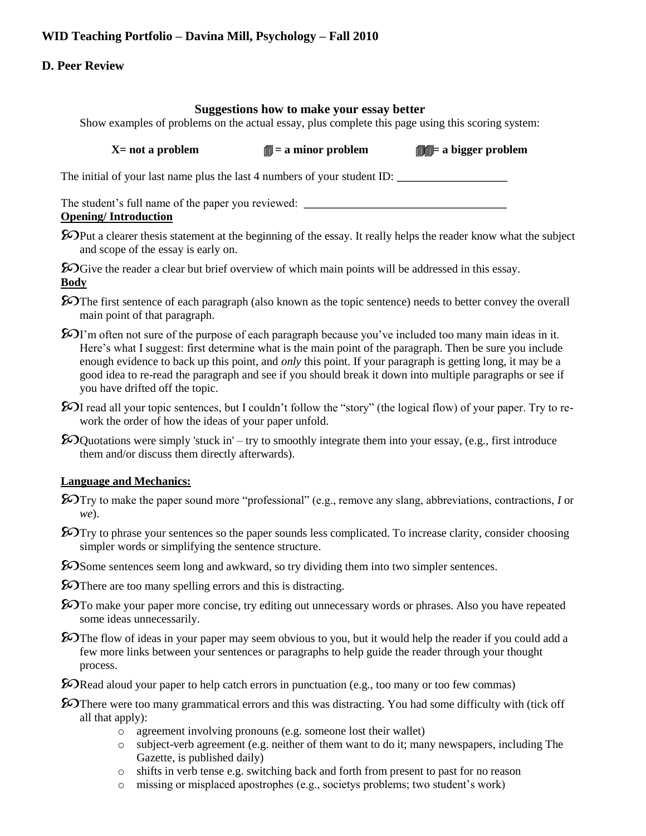# **WID Teaching Portfolio – Davina Mill, Psychology – Fall 2010**

### **D. Peer Review**

## **Suggestions how to make your essay better**

Show examples of problems on the actual essay, plus complete this page using this scoring system:

The initial of your last name plus the last 4 numbers of your student ID:

The student's full name of the paper you reviewed: \_\_\_\_\_\_\_\_\_\_\_\_\_\_\_\_\_\_\_\_\_\_\_\_\_\_\_\_\_

### **Opening/ Introduction**

**EX** Put a clearer thesis statement at the beginning of the essay. It really helps the reader know what the subject and scope of the essay is early on.

**E**OGive the reader a clear but brief overview of which main points will be addressed in this essay. **Body**

- **EX** The first sentence of each paragraph (also known as the topic sentence) needs to better convey the overall main point of that paragraph.
- $\Sigma$ I'm often not sure of the purpose of each paragraph because you've included too many main ideas in it. Here's what I suggest: first determine what is the main point of the paragraph. Then be sure you include enough evidence to back up this point, and *only* this point. If your paragraph is getting long, it may be a good idea to re-read the paragraph and see if you should break it down into multiple paragraphs or see if you have drifted off the topic.
- $\mathcal{D}I$  read all your topic sentences, but I couldn't follow the "story" (the logical flow) of your paper. Try to rework the order of how the ideas of your paper unfold.
- $\mathcal{D}$ Quotations were simply 'stuck in' try to smoothly integrate them into your essay, (e.g., first introduce them and/or discuss them directly afterwards).

#### **Language and Mechanics:**

- Try to make the paper sound more "professional" (e.g., remove any slang, abbreviations, contractions, *I* or *we*).
- **E**OTry to phrase your sentences so the paper sounds less complicated. To increase clarity, consider choosing simpler words or simplifying the sentence structure.
- **E**OSome sentences seem long and awkward, so try dividing them into two simpler sentences.
- **E**OThere are too many spelling errors and this is distracting.
- **E**OTO make your paper more concise, try editing out unnecessary words or phrases. Also you have repeated some ideas unnecessarily.
- $\mathcal{D}$ The flow of ideas in your paper may seem obvious to you, but it would help the reader if you could add a few more links between your sentences or paragraphs to help guide the reader through your thought process.
- Read aloud your paper to help catch errors in punctuation (e.g., too many or too few commas)
- **E**OThere were too many grammatical errors and this was distracting. You had some difficulty with (tick off all that apply):
	- o agreement involving pronouns (e.g. someone lost their wallet)
	- $\circ$  subject-verb agreement (e.g. neither of them want to do it; many newspapers, including The Gazette, is published daily)
	- o shifts in verb tense e.g. switching back and forth from present to past for no reason
	- o missing or misplaced apostrophes (e.g., societys problems; two student's work)